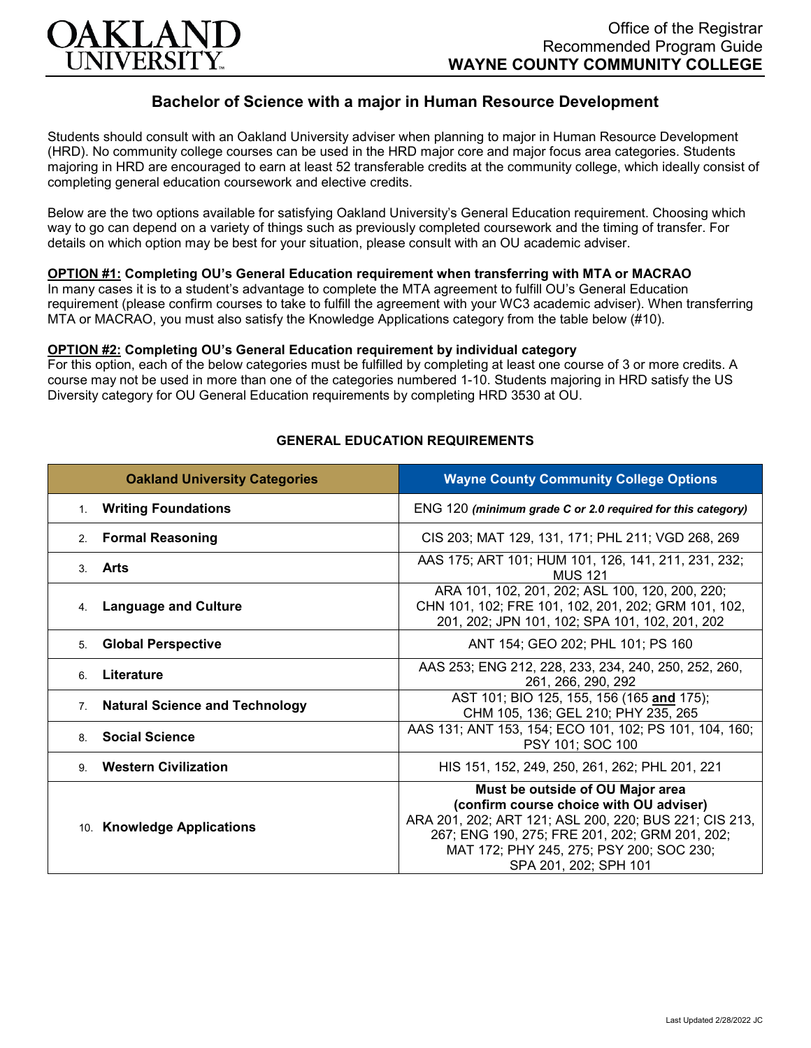

# **Bachelor of Science with a major in Human Resource Development**

Students should consult with an Oakland University adviser when planning to major in Human Resource Development (HRD). No community college courses can be used in the HRD major core and major focus area categories. Students majoring in HRD are encouraged to earn at least 52 transferable credits at the community college, which ideally consist of completing general education coursework and elective credits.

Below are the two options available for satisfying Oakland University's General Education requirement. Choosing which way to go can depend on a variety of things such as previously completed coursework and the timing of transfer. For details on which option may be best for your situation, please consult with an OU academic adviser.

### **OPTION #1: Completing OU's General Education requirement when transferring with MTA or MACRAO**

In many cases it is to a student's advantage to complete the MTA agreement to fulfill OU's General Education requirement (please confirm courses to take to fulfill the agreement with your WC3 academic adviser). When transferring MTA or MACRAO, you must also satisfy the Knowledge Applications category from the table below (#10).

#### **OPTION #2: Completing OU's General Education requirement by individual category**

For this option, each of the below categories must be fulfilled by completing at least one course of 3 or more credits. A course may not be used in more than one of the categories numbered 1-10. Students majoring in HRD satisfy the US Diversity category for OU General Education requirements by completing HRD 3530 at OU.

| <b>Oakland University Categories</b>                 | <b>Wayne County Community College Options</b>                                                                                                                                                                                                                |
|------------------------------------------------------|--------------------------------------------------------------------------------------------------------------------------------------------------------------------------------------------------------------------------------------------------------------|
| <b>Writing Foundations</b><br>1.                     | ENG 120 (minimum grade C or 2.0 required for this category)                                                                                                                                                                                                  |
| <b>Formal Reasoning</b><br>2.                        | CIS 203; MAT 129, 131, 171; PHL 211; VGD 268, 269                                                                                                                                                                                                            |
| 3. Arts                                              | AAS 175; ART 101; HUM 101, 126, 141, 211, 231, 232;<br><b>MUS 121</b>                                                                                                                                                                                        |
| <b>Language and Culture</b><br>4.                    | ARA 101, 102, 201, 202; ASL 100, 120, 200, 220;<br>CHN 101, 102; FRE 101, 102, 201, 202; GRM 101, 102,<br>201, 202; JPN 101, 102; SPA 101, 102, 201, 202                                                                                                     |
| <b>Global Perspective</b><br>5.                      | ANT 154; GEO 202; PHL 101; PS 160                                                                                                                                                                                                                            |
| Literature<br>6.                                     | AAS 253; ENG 212, 228, 233, 234, 240, 250, 252, 260,<br>261, 266, 290, 292                                                                                                                                                                                   |
| <b>Natural Science and Technology</b><br>$7_{\cdot}$ | AST 101; BIO 125, 155, 156 (165 and 175);<br>CHM 105, 136; GEL 210; PHY 235, 265                                                                                                                                                                             |
| <b>Social Science</b><br>8                           | AAS 131; ANT 153, 154; ECO 101, 102; PS 101, 104, 160;<br>PSY 101; SOC 100                                                                                                                                                                                   |
| <b>Western Civilization</b><br>9                     | HIS 151, 152, 249, 250, 261, 262; PHL 201, 221                                                                                                                                                                                                               |
| 10. Knowledge Applications                           | Must be outside of OU Major area<br>(confirm course choice with OU adviser)<br>ARA 201, 202; ART 121; ASL 200, 220; BUS 221; CIS 213,<br>267; ENG 190, 275; FRE 201, 202; GRM 201, 202;<br>MAT 172; PHY 245, 275; PSY 200; SOC 230;<br>SPA 201, 202; SPH 101 |

#### **GENERAL EDUCATION REQUIREMENTS**